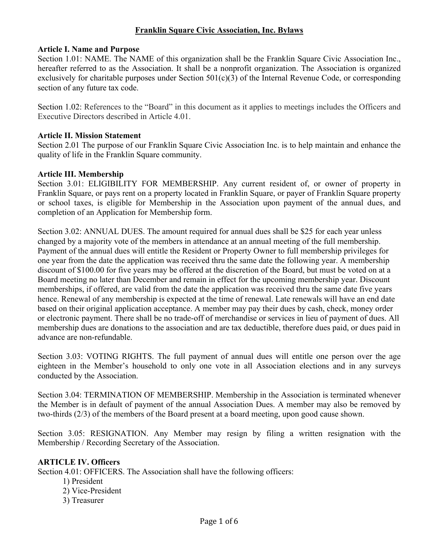### **Franklin Square Civic Association, Inc. Bylaws**

#### **Article I. Name and Purpose**

Section 1.01: NAME. The NAME of this organization shall be the Franklin Square Civic Association Inc., hereafter referred to as the Association. It shall be a nonprofit organization. The Association is organized exclusively for charitable purposes under Section 501(c)(3) of the Internal Revenue Code, or corresponding section of any future tax code.

Section 1.02: References to the "Board" in this document as it applies to meetings includes the Officers and Executive Directors described in Article 4.01.

#### **Article II. Mission Statement**

Section 2.01 The purpose of our Franklin Square Civic Association Inc. is to help maintain and enhance the quality of life in the Franklin Square community.

#### **Article III. Membership**

Section 3.01: ELIGIBILITY FOR MEMBERSHIP. Any current resident of, or owner of property in Franklin Square, or pays rent on a property located in Franklin Square, or payer of Franklin Square property or school taxes, is eligible for Membership in the Association upon payment of the annual dues, and completion of an Application for Membership form.

Section 3.02: ANNUAL DUES. The amount required for annual dues shall be \$25 for each year unless changed by a majority vote of the members in attendance at an annual meeting of the full membership. Payment of the annual dues will entitle the Resident or Property Owner to full membership privileges for one year from the date the application was received thru the same date the following year. A membership discount of \$100.00 for five years may be offered at the discretion of the Board, but must be voted on at a Board meeting no later than December and remain in effect for the upcoming membership year. Discount memberships, if offered, are valid from the date the application was received thru the same date five years hence. Renewal of any membership is expected at the time of renewal. Late renewals will have an end date based on their original application acceptance. A member may pay their dues by cash, check, money order or electronic payment. There shall be no trade-off of merchandise or services in lieu of payment of dues. All membership dues are donations to the association and are tax deductible, therefore dues paid, or dues paid in advance are non-refundable.

Section 3.03: VOTING RIGHTS. The full payment of annual dues will entitle one person over the age eighteen in the Member's household to only one vote in all Association elections and in any surveys conducted by the Association.

Section 3.04: TERMINATION OF MEMBERSHIP. Membership in the Association is terminated whenever the Member is in default of payment of the annual Association Dues. A member may also be removed by two-thirds (2/3) of the members of the Board present at a board meeting, upon good cause shown.

Section 3.05: RESIGNATION. Any Member may resign by filing a written resignation with the Membership / Recording Secretary of the Association.

#### **ARTICLE IV. Officers**

Section 4.01: OFFICERS. The Association shall have the following officers:

- 1) President
- 2) Vice-President
- 3) Treasurer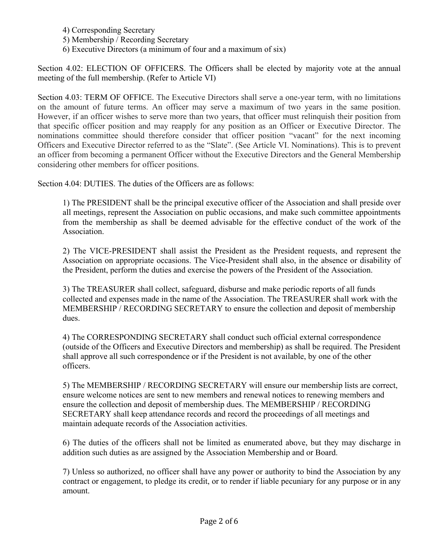- 4) Corresponding Secretary
- 5) Membership / Recording Secretary
- 6) Executive Directors (a minimum of four and a maximum of six)

Section 4.02: ELECTION OF OFFICERS. The Officers shall be elected by majority vote at the annual meeting of the full membership. (Refer to Article VI)

Section 4.03: TERM OF OFFICE. The Executive Directors shall serve a one-year term, with no limitations on the amount of future terms. An officer may serve a maximum of two years in the same position. However, if an officer wishes to serve more than two years, that officer must relinquish their position from that specific officer position and may reapply for any position as an Officer or Executive Director. The nominations committee should therefore consider that officer position "vacant" for the next incoming Officers and Executive Director referred to as the "Slate". (See Article VI. Nominations). This is to prevent an officer from becoming a permanent Officer without the Executive Directors and the General Membership considering other members for officer positions.

Section 4.04: DUTIES. The duties of the Officers are as follows:

1) The PRESIDENT shall be the principal executive officer of the Association and shall preside over all meetings, represent the Association on public occasions, and make such committee appointments from the membership as shall be deemed advisable for the effective conduct of the work of the Association.

2) The VICE-PRESIDENT shall assist the President as the President requests, and represent the Association on appropriate occasions. The Vice-President shall also, in the absence or disability of the President, perform the duties and exercise the powers of the President of the Association.

3) The TREASURER shall collect, safeguard, disburse and make periodic reports of all funds collected and expenses made in the name of the Association. The TREASURER shall work with the MEMBERSHIP / RECORDING SECRETARY to ensure the collection and deposit of membership dues.

4) The CORRESPONDING SECRETARY shall conduct such official external correspondence (outside of the Officers and Executive Directors and membership) as shall be required. The President shall approve all such correspondence or if the President is not available, by one of the other officers.

5) The MEMBERSHIP / RECORDING SECRETARY will ensure our membership lists are correct, ensure welcome notices are sent to new members and renewal notices to renewing members and ensure the collection and deposit of membership dues. The MEMBERSHIP / RECORDING SECRETARY shall keep attendance records and record the proceedings of all meetings and maintain adequate records of the Association activities.

6) The duties of the officers shall not be limited as enumerated above, but they may discharge in addition such duties as are assigned by the Association Membership and or Board.

7) Unless so authorized, no officer shall have any power or authority to bind the Association by any contract or engagement, to pledge its credit, or to render if liable pecuniary for any purpose or in any amount.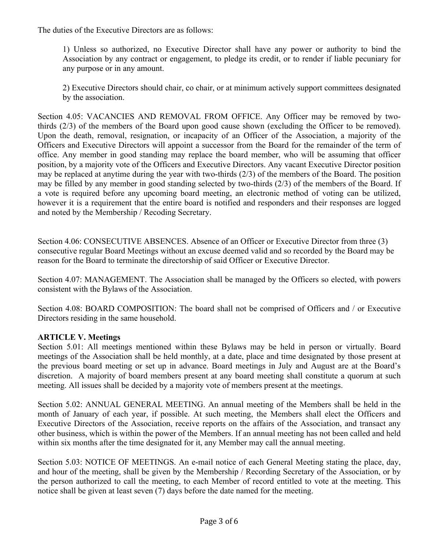The duties of the Executive Directors are as follows:

1) Unless so authorized, no Executive Director shall have any power or authority to bind the Association by any contract or engagement, to pledge its credit, or to render if liable pecuniary for any purpose or in any amount.

2) Executive Directors should chair, co chair, or at minimum actively support committees designated by the association.

Section 4.05: VACANCIES AND REMOVAL FROM OFFICE. Any Officer may be removed by twothirds (2/3) of the members of the Board upon good cause shown (excluding the Officer to be removed). Upon the death, removal, resignation, or incapacity of an Officer of the Association, a majority of the Officers and Executive Directors will appoint a successor from the Board for the remainder of the term of office. Any member in good standing may replace the board member, who will be assuming that officer position, by a majority vote of the Officers and Executive Directors. Any vacant Executive Director position may be replaced at anytime during the year with two-thirds (2/3) of the members of the Board. The position may be filled by any member in good standing selected by two-thirds (2/3) of the members of the Board. If a vote is required before any upcoming board meeting, an electronic method of voting can be utilized, however it is a requirement that the entire board is notified and responders and their responses are logged and noted by the Membership / Recoding Secretary.

Section 4.06: CONSECUTIVE ABSENCES. Absence of an Officer or Executive Director from three (3) consecutive regular Board Meetings without an excuse deemed valid and so recorded by the Board may be reason for the Board to terminate the directorship of said Officer or Executive Director.

Section 4.07: MANAGEMENT. The Association shall be managed by the Officers so elected, with powers consistent with the Bylaws of the Association.

Section 4.08: BOARD COMPOSITION: The board shall not be comprised of Officers and / or Executive Directors residing in the same household.

# **ARTICLE V. Meetings**

Section 5.01: All meetings mentioned within these Bylaws may be held in person or virtually. Board meetings of the Association shall be held monthly, at a date, place and time designated by those present at the previous board meeting or set up in advance. Board meetings in July and August are at the Board's discretion. A majority of board members present at any board meeting shall constitute a quorum at such meeting. All issues shall be decided by a majority vote of members present at the meetings.

Section 5.02: ANNUAL GENERAL MEETING. An annual meeting of the Members shall be held in the month of January of each year, if possible. At such meeting, the Members shall elect the Officers and Executive Directors of the Association, receive reports on the affairs of the Association, and transact any other business, which is within the power of the Members. If an annual meeting has not been called and held within six months after the time designated for it, any Member may call the annual meeting.

Section 5.03: NOTICE OF MEETINGS. An e-mail notice of each General Meeting stating the place, day, and hour of the meeting, shall be given by the Membership / Recording Secretary of the Association, or by the person authorized to call the meeting, to each Member of record entitled to vote at the meeting. This notice shall be given at least seven (7) days before the date named for the meeting.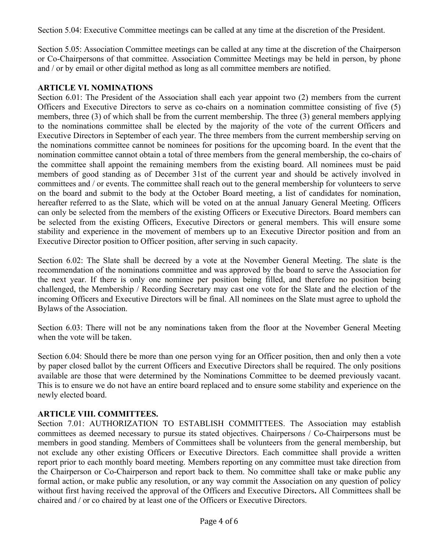Section 5.04: Executive Committee meetings can be called at any time at the discretion of the President.

Section 5.05: Association Committee meetings can be called at any time at the discretion of the Chairperson or Co-Chairpersons of that committee. Association Committee Meetings may be held in person, by phone and / or by email or other digital method as long as all committee members are notified.

## **ARTICLE VI. NOMINATIONS**

Section 6.01: The President of the Association shall each year appoint two  $(2)$  members from the current Officers and Executive Directors to serve as co-chairs on a nomination committee consisting of five (5) members, three (3) of which shall be from the current membership. The three (3) general members applying to the nominations committee shall be elected by the majority of the vote of the current Officers and Executive Directors in September of each year. The three members from the current membership serving on the nominations committee cannot be nominees for positions for the upcoming board. In the event that the nomination committee cannot obtain a total of three members from the general membership, the co-chairs of the committee shall appoint the remaining members from the existing board. All nominees must be paid members of good standing as of December 31st of the current year and should be actively involved in committees and / or events. The committee shall reach out to the general membership for volunteers to serve on the board and submit to the body at the October Board meeting, a list of candidates for nomination, hereafter referred to as the Slate, which will be voted on at the annual January General Meeting. Officers can only be selected from the members of the existing Officers or Executive Directors. Board members can be selected from the existing Officers, Executive Directors or general members. This will ensure some stability and experience in the movement of members up to an Executive Director position and from an Executive Director position to Officer position, after serving in such capacity.

Section 6.02: The Slate shall be decreed by a vote at the November General Meeting. The slate is the recommendation of the nominations committee and was approved by the board to serve the Association for the next year. If there is only one nominee per position being filled, and therefore no position being challenged, the Membership / Recording Secretary may cast one vote for the Slate and the election of the incoming Officers and Executive Directors will be final. All nominees on the Slate must agree to uphold the Bylaws of the Association.

Section 6.03: There will not be any nominations taken from the floor at the November General Meeting when the vote will be taken.

Section 6.04: Should there be more than one person vying for an Officer position, then and only then a vote by paper closed ballot by the current Officers and Executive Directors shall be required. The only positions available are those that were determined by the Nominations Committee to be deemed previously vacant. This is to ensure we do not have an entire board replaced and to ensure some stability and experience on the newly elected board.

### **ARTICLE VIII. COMMITTEES.**

Section 7.01: AUTHORIZATION TO ESTABLISH COMMITTEES. The Association may establish committees as deemed necessary to pursue its stated objectives. Chairpersons / Co-Chairpersons must be members in good standing. Members of Committees shall be volunteers from the general membership, but not exclude any other existing Officers or Executive Directors. Each committee shall provide a written report prior to each monthly board meeting. Members reporting on any committee must take direction from the Chairperson or Co-Chairperson and report back to them. No committee shall take or make public any formal action, or make public any resolution, or any way commit the Association on any question of policy without first having received the approval of the Officers and Executive Directors**.** All Committees shall be chaired and / or co chaired by at least one of the Officers or Executive Directors.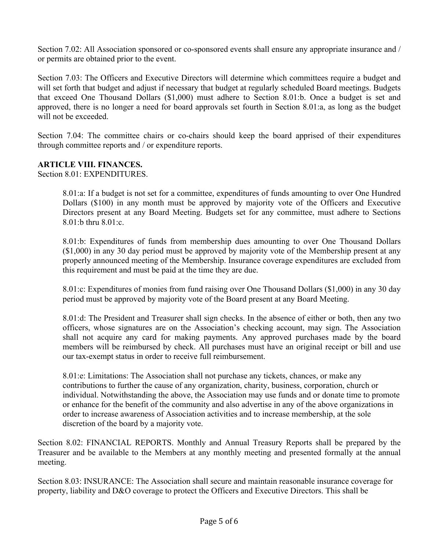Section 7.02: All Association sponsored or co-sponsored events shall ensure any appropriate insurance and / or permits are obtained prior to the event.

Section 7.03: The Officers and Executive Directors will determine which committees require a budget and will set forth that budget and adjust if necessary that budget at regularly scheduled Board meetings. Budgets that exceed One Thousand Dollars (\$1,000) must adhere to Section 8.01:b. Once a budget is set and approved, there is no longer a need for board approvals set fourth in Section 8.01:a, as long as the budget will not be exceeded.

Section 7.04: The committee chairs or co-chairs should keep the board apprised of their expenditures through committee reports and / or expenditure reports.

### **ARTICLE VIII. FINANCES.**

Section 8.01: EXPENDITURES.

8.01:a: If a budget is not set for a committee, expenditures of funds amounting to over One Hundred Dollars (\$100) in any month must be approved by majority vote of the Officers and Executive Directors present at any Board Meeting. Budgets set for any committee, must adhere to Sections 8.01:b thru 8.01:c.

8.01:b: Expenditures of funds from membership dues amounting to over One Thousand Dollars (\$1,000) in any 30 day period must be approved by majority vote of the Membership present at any properly announced meeting of the Membership. Insurance coverage expenditures are excluded from this requirement and must be paid at the time they are due.

8.01:c: Expenditures of monies from fund raising over One Thousand Dollars (\$1,000) in any 30 day period must be approved by majority vote of the Board present at any Board Meeting.

8.01:d: The President and Treasurer shall sign checks. In the absence of either or both, then any two officers, whose signatures are on the Association's checking account, may sign. The Association shall not acquire any card for making payments. Any approved purchases made by the board members will be reimbursed by check. All purchases must have an original receipt or bill and use our tax-exempt status in order to receive full reimbursement.

8.01:e: Limitations: The Association shall not purchase any tickets, chances, or make any contributions to further the cause of any organization, charity, business, corporation, church or individual. Notwithstanding the above, the Association may use funds and or donate time to promote or enhance for the benefit of the community and also advertise in any of the above organizations in order to increase awareness of Association activities and to increase membership, at the sole discretion of the board by a majority vote.

Section 8.02: FINANCIAL REPORTS. Monthly and Annual Treasury Reports shall be prepared by the Treasurer and be available to the Members at any monthly meeting and presented formally at the annual meeting.

Section 8.03: INSURANCE: The Association shall secure and maintain reasonable insurance coverage for property, liability and D&O coverage to protect the Officers and Executive Directors. This shall be